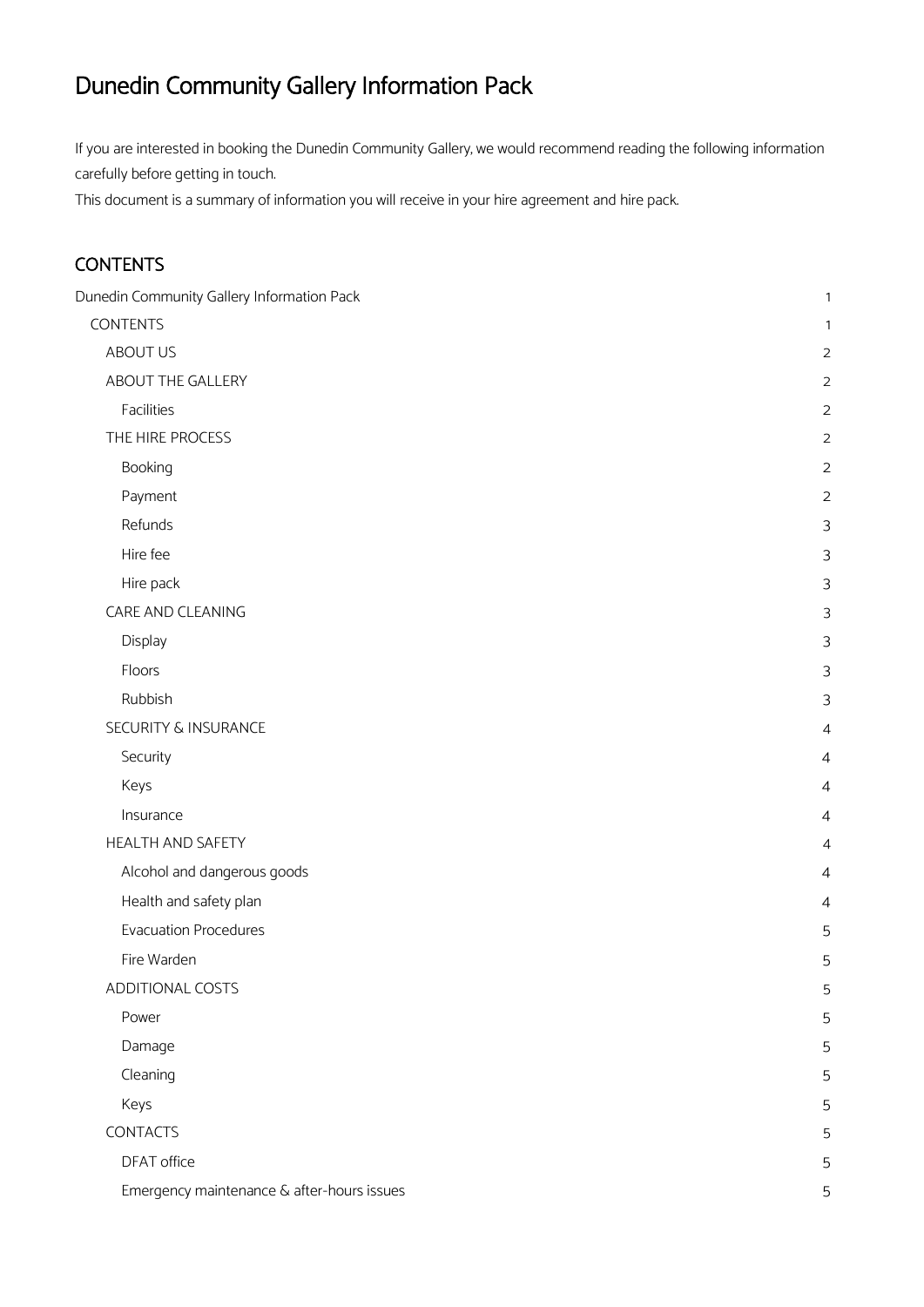# <span id="page-0-0"></span>Dunedin Community Gallery Information Pack

If you are interested in booking the Dunedin Community Gallery, we would recommend reading the following information carefully before getting in touch.

<span id="page-0-1"></span>This document is a summary of information you will receive in your hire agreement and hire pack.

# **CONTENTS**

| Dunedin Community Gallery Information Pack | $\mathbf{1}$   |
|--------------------------------------------|----------------|
| <b>CONTENTS</b>                            | 1              |
| ABOUT US                                   | $\overline{2}$ |
| ABOUT THE GALLERY                          | $\overline{2}$ |
| Facilities                                 | $\overline{2}$ |
| THE HIRE PROCESS                           | $\overline{c}$ |
| Booking                                    | $\overline{c}$ |
| Payment                                    | $\overline{c}$ |
| Refunds                                    | 3              |
| Hire fee                                   | 3              |
| Hire pack                                  | 3              |
| CARE AND CLEANING                          | 3              |
| Display                                    | 3              |
| Floors                                     | 3              |
| Rubbish                                    | 3              |
| <b>SECURITY &amp; INSURANCE</b>            | 4              |
| Security                                   | 4              |
| Keys                                       | 4              |
| Insurance                                  | 4              |
| <b>HEALTH AND SAFETY</b>                   | 4              |
| Alcohol and dangerous goods                | 4              |
| Health and safety plan                     | 4              |
| <b>Evacuation Procedures</b>               | 5              |
| Fire Warden                                | 5              |
| ADDITIONAL COSTS                           | 5              |
| Power                                      | 5              |
| Damage                                     | 5              |
| Cleaning                                   | 5              |
| Keys                                       | 5              |
| <b>CONTACTS</b>                            | 5              |
| DFAT office                                | 5              |
| Emergency maintenance & after-hours issues | 5              |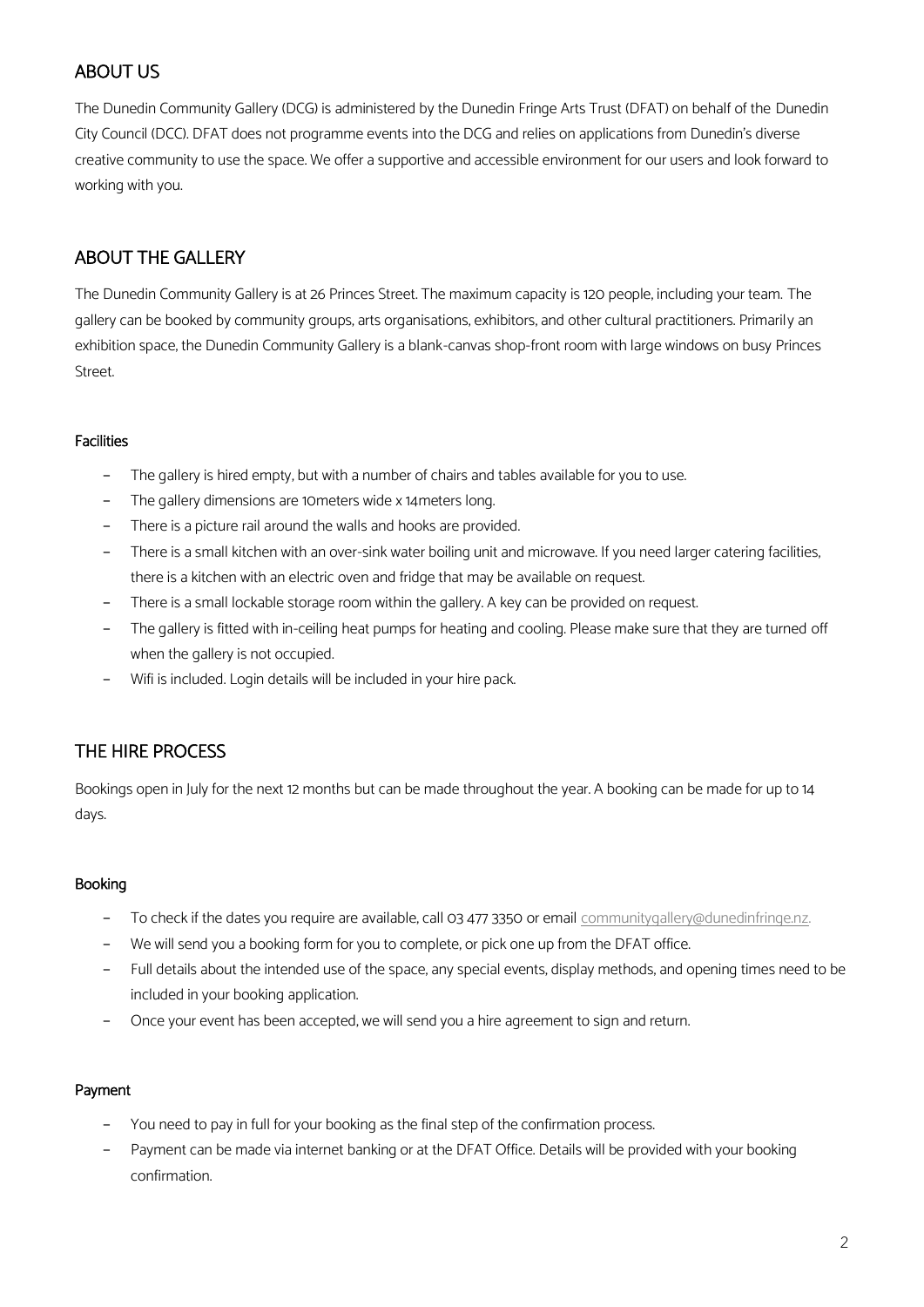# <span id="page-1-0"></span>ABOUT US

The Dunedin Community Gallery (DCG) is administered by the Dunedin Fringe Arts Trust (DFAT) on behalf of the Dunedin City Council (DCC). DFAT does not programme events into the DCG and relies on applications from Dunedin's diverse creative community to use the space. We offer a supportive and accessible environment for our users and look forward to working with you.

# <span id="page-1-1"></span>ABOUT THE GALLERY

The Dunedin Community Gallery is at 26 Princes Street. The maximum capacity is 120 people, including your team. The gallery can be booked by community groups, arts organisations, exhibitors, and other cultural practitioners. Primarily an exhibition space, the Dunedin Community Gallery is a blank-canvas shop-front room with large windows on busy Princes Street.

# <span id="page-1-2"></span>Facilities

- − The gallery is hired empty, but with a number of chairs and tables available for you to use.
- The gallery dimensions are 10meters wide x 14meters long.
- There is a picture rail around the walls and hooks are provided.
- There is a small kitchen with an over-sink water boiling unit and microwave. If you need larger catering facilities, there is a kitchen with an electric oven and fridge that may be available on request.
- There is a small lockable storage room within the gallery. A key can be provided on request.
- The gallery is fitted with in-ceiling heat pumps for heating and cooling. Please make sure that they are turned off when the gallery is not occupied.
- Wifi is included. Login details will be included in your hire pack.

# <span id="page-1-3"></span>THE HIRE PROCESS

Bookings open in July for the next 12 months but can be made throughout the year. A booking can be made for up to 14 days.

# <span id="page-1-4"></span>Booking

- − To check if the dates you require are available, call 03 477 3350 or email [communitygallery@dunedinfringe.nz.](mailto:communitygallery@dunedinfringe.nz)
- − We will send you a booking form for you to complete, or pick one up from the DFAT office.
- Full details about the intended use of the space, any special events, display methods, and opening times need to be included in your booking application.
- Once your event has been accepted, we will send you a hire agreement to sign and return.

# <span id="page-1-5"></span>Payment

- You need to pay in full for your booking as the final step of the confirmation process.
- Payment can be made via internet banking or at the DFAT Office. Details will be provided with your booking confirmation.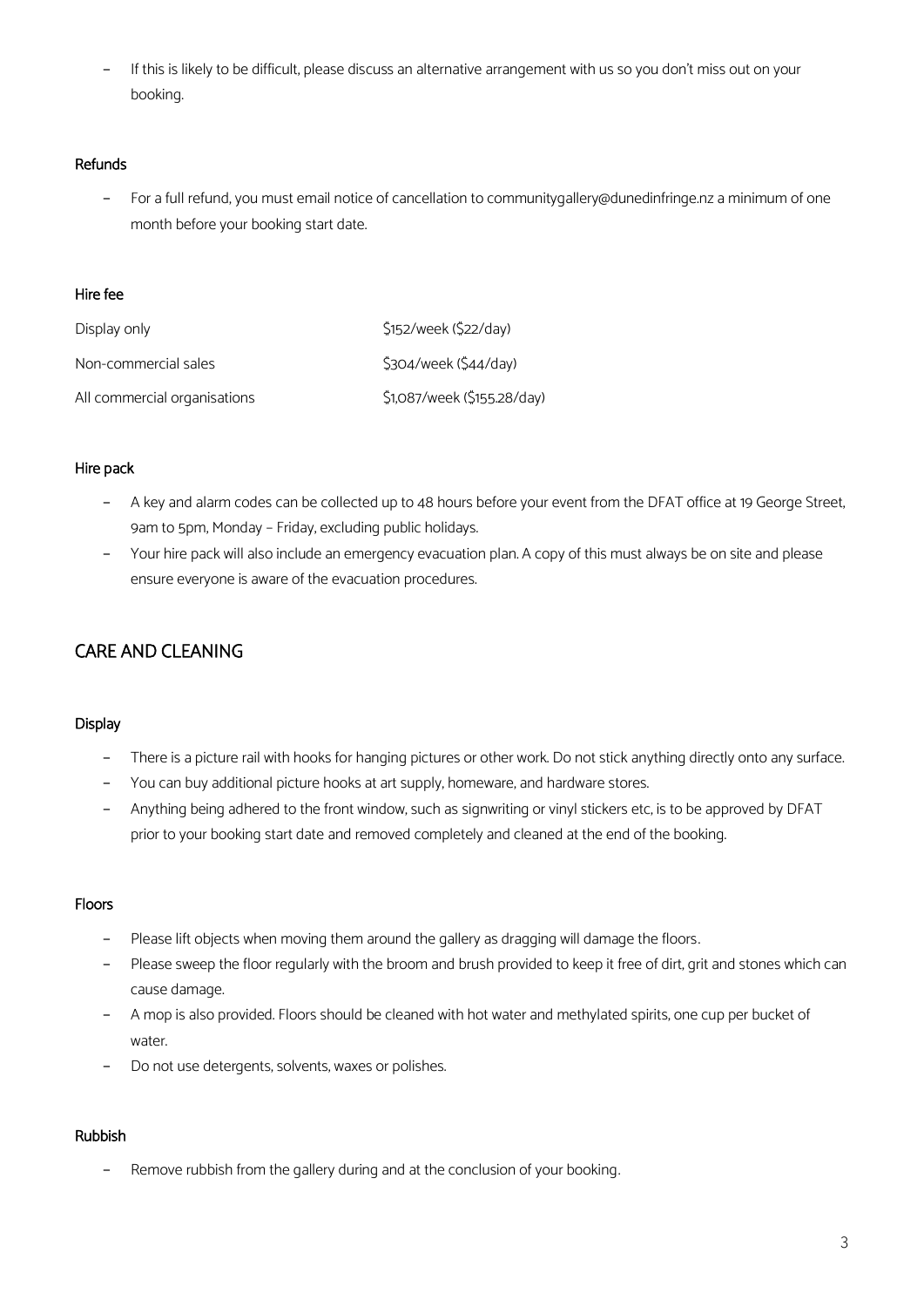− If this is likely to be difficult, please discuss an alternative arrangement with us so you don't miss out on your booking.

## <span id="page-2-0"></span>Refunds

− For a full refund, you must email notice of cancellation to communitygallery@dunedinfringe.nz a minimum of one month before your booking start date.

#### <span id="page-2-1"></span>Hire fee

| Display only                 | \$152/week (\$22/day)       |
|------------------------------|-----------------------------|
| Non-commercial sales         | \$304/week (\$44/day)       |
| All commercial organisations | \$1,087/week (\$155.28/day) |

## <span id="page-2-2"></span>Hire pack

- A key and alarm codes can be collected up to 48 hours before your event from the DFAT office at 19 George Street, 9am to 5pm, Monday – Friday, excluding public holidays.
- Your hire pack will also include an emergency evacuation plan. A copy of this must always be on site and please ensure everyone is aware of the evacuation procedures.

# <span id="page-2-4"></span><span id="page-2-3"></span>CARE AND CLEANING

#### **Display**

- − There is a picture rail with hooks for hanging pictures or other work. Do not stick anything directly onto any surface.
- − You can buy additional picture hooks at art supply, homeware, and hardware stores.
- − Anything being adhered to the front window, such as signwriting or vinyl stickers etc, is to be approved by DFAT prior to your booking start date and removed completely and cleaned at the end of the booking.

# <span id="page-2-5"></span>Floors

- Please lift objects when moving them around the gallery as dragging will damage the floors.
- Please sweep the floor regularly with the broom and brush provided to keep it free of dirt, grit and stones which can cause damage.
- A mop is also provided. Floors should be cleaned with hot water and methylated spirits, one cup per bucket of water.
- Do not use detergents, solvents, waxes or polishes.

# <span id="page-2-6"></span>Rubbish

− Remove rubbish from the gallery during and at the conclusion of your booking.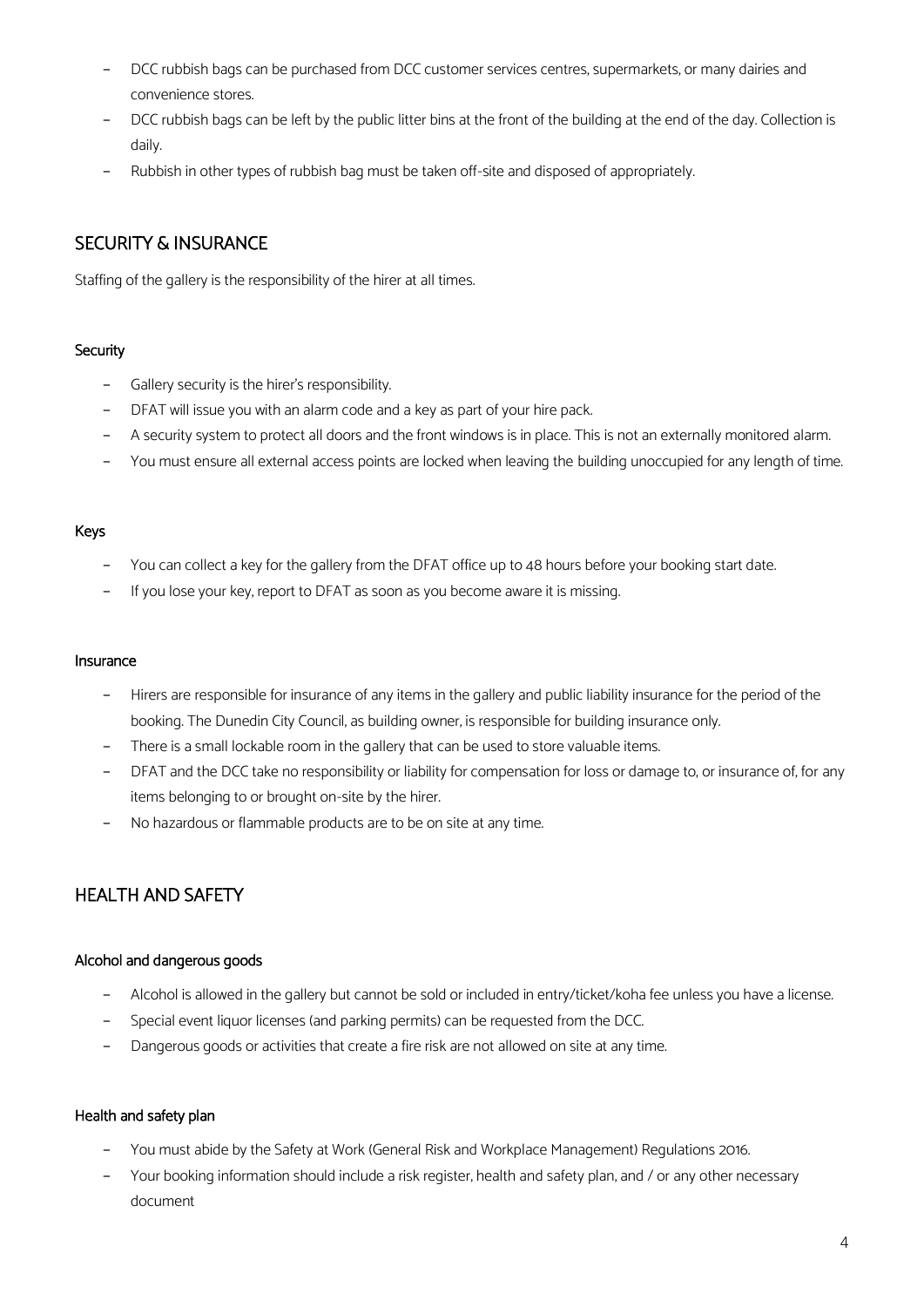- DCC rubbish bags can be purchased from DCC customer services centres, supermarkets, or many dairies and convenience stores.
- DCC rubbish bags can be left by the public litter bins at the front of the building at the end of the day. Collection is daily.
- − Rubbish in other types of rubbish bag must be taken off-site and disposed of appropriately.

# <span id="page-3-0"></span>SECURITY & INSURANCE

Staffing of the gallery is the responsibility of the hirer at all times.

# <span id="page-3-1"></span>**Security**

- − Gallery security is the hirer's responsibility.
- − DFAT will issue you with an alarm code and a key as part of your hire pack.
- A security system to protect all doors and the front windows is in place. This is not an externally monitored alarm.
- You must ensure all external access points are locked when leaving the building unoccupied for any length of time.

## <span id="page-3-2"></span>Keys

- You can collect a key for the gallery from the DFAT office up to 48 hours before your booking start date.
- If you lose your key, report to DFAT as soon as you become aware it is missing.

#### <span id="page-3-3"></span>Insurance

- Hirers are responsible for insurance of any items in the gallery and public liability insurance for the period of the booking. The Dunedin City Council, as building owner, is responsible for building insurance only.
- There is a small lockable room in the gallery that can be used to store valuable items.
- DFAT and the DCC take no responsibility or liability for compensation for loss or damage to, or insurance of, for any items belonging to or brought on-site by the hirer.
- No hazardous or flammable products are to be on site at any time.

# <span id="page-3-4"></span>HEALTH AND SAFFTY

#### <span id="page-3-5"></span>Alcohol and dangerous goods

- − Alcohol is allowed in the gallery but cannot be sold or included in entry/ticket/koha fee unless you have a license.
- − Special event liquor licenses (and parking permits) can be requested from the DCC.
- Dangerous goods or activities that create a fire risk are not allowed on site at any time.

#### <span id="page-3-6"></span>Health and safety plan

- − You must abide by the Safety at Work (General Risk and Workplace Management) Regulations 2016.
- Your booking information should include a risk register, health and safety plan, and / or any other necessary document